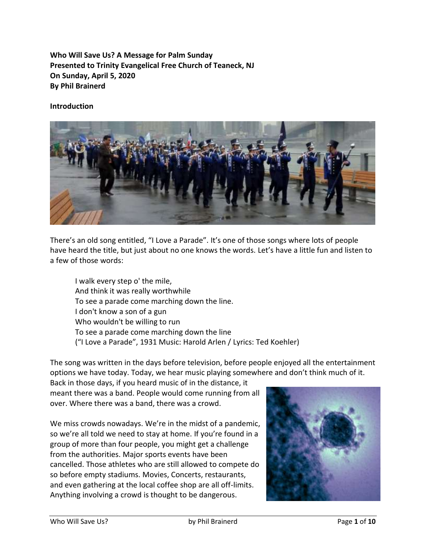**Who Will Save Us? A Message for Palm Sunday Presented to Trinity Evangelical Free Church of Teaneck, NJ On Sunday, April 5, 2020 By Phil Brainerd**

## **Introduction**



There's an old song entitled, "I Love a Parade". It's one of those songs where lots of people have heard the title, but just about no one knows the words. Let's have a little fun and listen to a few of those words:

I walk every step o' the mile, And think it was really worthwhile To see a parade come marching down the line. I don't know a son of a gun Who wouldn't be willing to run To see a parade come marching down the line ("I Love a Parade", 1931 Music: Harold Arlen / Lyrics: Ted Koehler)

The song was written in the days before television, before people enjoyed all the entertainment options we have today. Today, we hear music playing somewhere and don't think much of it.

Back in those days, if you heard music of in the distance, it meant there was a band. People would come running from all over. Where there was a band, there was a crowd.

We miss crowds nowadays. We're in the midst of a pandemic, so we're all told we need to stay at home. If you're found in a group of more than four people, you might get a challenge from the authorities. Major sports events have been cancelled. Those athletes who are still allowed to compete do so before empty stadiums. Movies, Concerts, restaurants, and even gathering at the local coffee shop are all off-limits. Anything involving a crowd is thought to be dangerous.

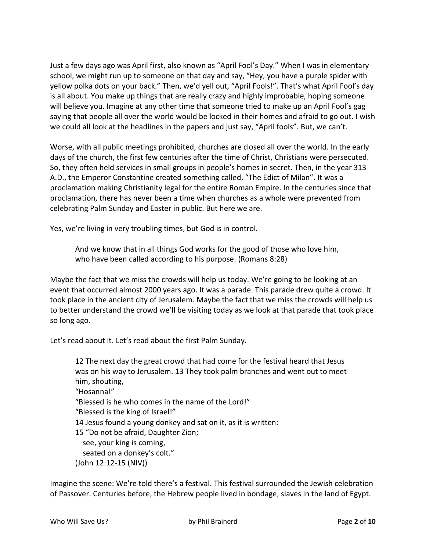Just a few days ago was April first, also known as "April Fool's Day." When I was in elementary school, we might run up to someone on that day and say, "Hey, you have a purple spider with yellow polka dots on your back." Then, we'd yell out, "April Fools!". That's what April Fool's day is all about. You make up things that are really crazy and highly improbable, hoping someone will believe you. Imagine at any other time that someone tried to make up an April Fool's gag saying that people all over the world would be locked in their homes and afraid to go out. I wish we could all look at the headlines in the papers and just say, "April fools". But, we can't.

Worse, with all public meetings prohibited, churches are closed all over the world. In the early days of the church, the first few centuries after the time of Christ, Christians were persecuted. So, they often held services in small groups in people's homes in secret. Then, in the year 313 A.D., the Emperor Constantine created something called, "The Edict of Milan". It was a proclamation making Christianity legal for the entire Roman Empire. In the centuries since that proclamation, there has never been a time when churches as a whole were prevented from celebrating Palm Sunday and Easter in public. But here we are.

Yes, we're living in very troubling times, but God is in control.

And we know that in all things God works for the good of those who love him, who have been called according to his purpose. (Romans 8:28)

Maybe the fact that we miss the crowds will help us today. We're going to be looking at an event that occurred almost 2000 years ago. It was a parade. This parade drew quite a crowd. It took place in the ancient city of Jerusalem. Maybe the fact that we miss the crowds will help us to better understand the crowd we'll be visiting today as we look at that parade that took place so long ago.

Let's read about it. Let's read about the first Palm Sunday.

12 The next day the great crowd that had come for the festival heard that Jesus was on his way to Jerusalem. 13 They took palm branches and went out to meet him, shouting, "Hosanna!" "Blessed is he who comes in the name of the Lord!" "Blessed is the king of Israel!" 14 Jesus found a young donkey and sat on it, as it is written: 15 "Do not be afraid, Daughter Zion; see, your king is coming, seated on a donkey's colt." (John 12:12-15 (NIV))

Imagine the scene: We're told there's a festival. This festival surrounded the Jewish celebration of Passover. Centuries before, the Hebrew people lived in bondage, slaves in the land of Egypt.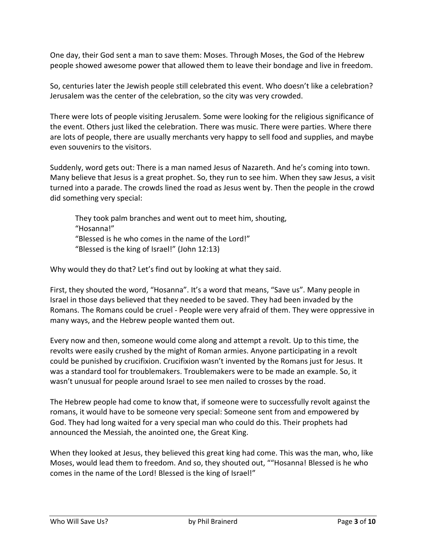One day, their God sent a man to save them: Moses. Through Moses, the God of the Hebrew people showed awesome power that allowed them to leave their bondage and live in freedom.

So, centuries later the Jewish people still celebrated this event. Who doesn't like a celebration? Jerusalem was the center of the celebration, so the city was very crowded.

There were lots of people visiting Jerusalem. Some were looking for the religious significance of the event. Others just liked the celebration. There was music. There were parties. Where there are lots of people, there are usually merchants very happy to sell food and supplies, and maybe even souvenirs to the visitors.

Suddenly, word gets out: There is a man named Jesus of Nazareth. And he's coming into town. Many believe that Jesus is a great prophet. So, they run to see him. When they saw Jesus, a visit turned into a parade. The crowds lined the road as Jesus went by. Then the people in the crowd did something very special:

They took palm branches and went out to meet him, shouting, "Hosanna!" "Blessed is he who comes in the name of the Lord!" "Blessed is the king of Israel!" (John 12:13)

Why would they do that? Let's find out by looking at what they said.

First, they shouted the word, "Hosanna". It's a word that means, "Save us". Many people in Israel in those days believed that they needed to be saved. They had been invaded by the Romans. The Romans could be cruel - People were very afraid of them. They were oppressive in many ways, and the Hebrew people wanted them out.

Every now and then, someone would come along and attempt a revolt. Up to this time, the revolts were easily crushed by the might of Roman armies. Anyone participating in a revolt could be punished by crucifixion. Crucifixion wasn't invented by the Romans just for Jesus. It was a standard tool for troublemakers. Troublemakers were to be made an example. So, it wasn't unusual for people around Israel to see men nailed to crosses by the road.

The Hebrew people had come to know that, if someone were to successfully revolt against the romans, it would have to be someone very special: Someone sent from and empowered by God. They had long waited for a very special man who could do this. Their prophets had announced the Messiah, the anointed one, the Great King.

When they looked at Jesus, they believed this great king had come. This was the man, who, like Moses, would lead them to freedom. And so, they shouted out, ""Hosanna! Blessed is he who comes in the name of the Lord! Blessed is the king of Israel!"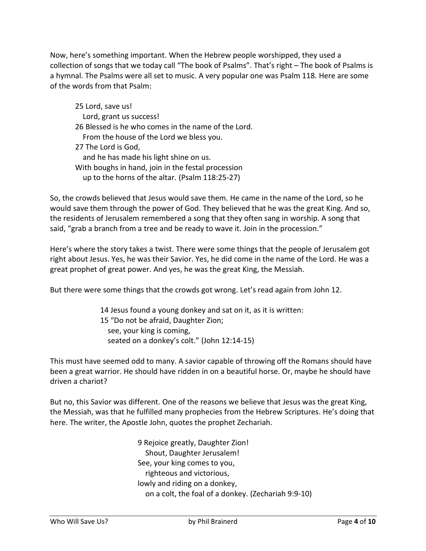Now, here's something important. When the Hebrew people worshipped, they used a collection of songs that we today call "The book of Psalms". That's right – The book of Psalms is a hymnal. The Psalms were all set to music. A very popular one was Psalm 118. Here are some of the words from that Psalm:

25 Lord, save us! Lord, grant us success! 26 Blessed is he who comes in the name of the Lord. From the house of the Lord we bless you. 27 The Lord is God, and he has made his light shine on us. With boughs in hand, join in the festal procession up to the horns of the altar. (Psalm 118:25-27)

So, the crowds believed that Jesus would save them. He came in the name of the Lord, so he would save them through the power of God. They believed that he was the great King. And so, the residents of Jerusalem remembered a song that they often sang in worship. A song that said, "grab a branch from a tree and be ready to wave it. Join in the procession."

Here's where the story takes a twist. There were some things that the people of Jerusalem got right about Jesus. Yes, he was their Savior. Yes, he did come in the name of the Lord. He was a great prophet of great power. And yes, he was the great King, the Messiah.

But there were some things that the crowds got wrong. Let's read again from John 12.

14 Jesus found a young donkey and sat on it, as it is written: 15 "Do not be afraid, Daughter Zion; see, your king is coming, seated on a donkey's colt." (John 12:14-15)

This must have seemed odd to many. A savior capable of throwing off the Romans should have been a great warrior. He should have ridden in on a beautiful horse. Or, maybe he should have driven a chariot?

But no, this Savior was different. One of the reasons we believe that Jesus was the great King, the Messiah, was that he fulfilled many prophecies from the Hebrew Scriptures. He's doing that here. The writer, the Apostle John, quotes the prophet Zechariah.

> 9 Rejoice greatly, Daughter Zion! Shout, Daughter Jerusalem! See, your king comes to you, righteous and victorious, lowly and riding on a donkey, on a colt, the foal of a donkey. (Zechariah 9:9-10)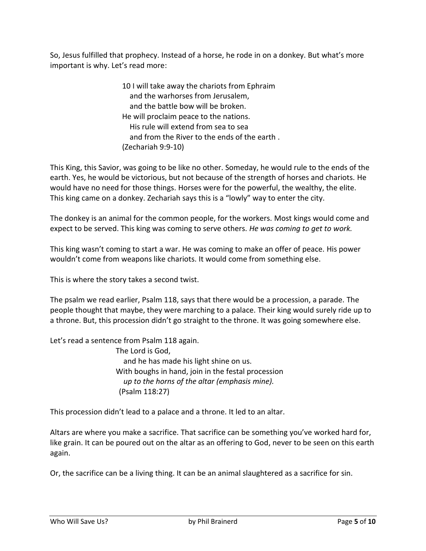So, Jesus fulfilled that prophecy. Instead of a horse, he rode in on a donkey. But what's more important is why. Let's read more:

> 10 I will take away the chariots from Ephraim and the warhorses from Jerusalem, and the battle bow will be broken. He will proclaim peace to the nations. His rule will extend from sea to sea and from the River to the ends of the earth . (Zechariah 9:9-10)

This King, this Savior, was going to be like no other. Someday, he would rule to the ends of the earth. Yes, he would be victorious, but not because of the strength of horses and chariots. He would have no need for those things. Horses were for the powerful, the wealthy, the elite. This king came on a donkey. Zechariah says this is a "lowly" way to enter the city.

The donkey is an animal for the common people, for the workers. Most kings would come and expect to be served. This king was coming to serve others. *He was coming to get to work.*

This king wasn't coming to start a war. He was coming to make an offer of peace. His power wouldn't come from weapons like chariots. It would come from something else.

This is where the story takes a second twist.

The psalm we read earlier, Psalm 118, says that there would be a procession, a parade. The people thought that maybe, they were marching to a palace. Their king would surely ride up to a throne. But, this procession didn't go straight to the throne. It was going somewhere else.

Let's read a sentence from Psalm 118 again.

The Lord is God, and he has made his light shine on us. With boughs in hand, join in the festal procession  *up to the horns of the altar (emphasis mine).* (Psalm 118:27)

This procession didn't lead to a palace and a throne. It led to an altar.

Altars are where you make a sacrifice. That sacrifice can be something you've worked hard for, like grain. It can be poured out on the altar as an offering to God, never to be seen on this earth again.

Or, the sacrifice can be a living thing. It can be an animal slaughtered as a sacrifice for sin.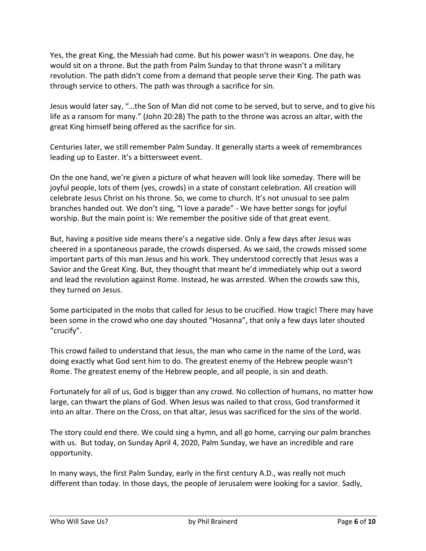Yes, the great King, the Messiah had come. But his power wasn't in weapons. One day, he would sit on a throne. But the path from Palm Sunday to that throne wasn't a military revolution. The path didn't come from a demand that people serve their King. The path was through service to others. The path was through a sacrifice for sin.

Jesus would later say, "…the Son of Man did not come to be served, but to serve, and to give his life as a ransom for many." (John 20:28) The path to the throne was across an altar, with the great King himself being offered as the sacrifice for sin.

Centuries later, we still remember Palm Sunday. It generally starts a week of remembrances leading up to Easter. It's a bittersweet event.

On the one hand, we're given a picture of what heaven will look like someday. There will be joyful people, lots of them (yes, crowds) in a state of constant celebration. All creation will celebrate Jesus Christ on his throne. So, we come to church. It's not unusual to see palm branches handed out. We don't sing, "I love a parade" - We have better songs for joyful worship. But the main point is: We remember the positive side of that great event.

But, having a positive side means there's a negative side. Only a few days after Jesus was cheered in a spontaneous parade, the crowds dispersed. As we said, the crowds missed some important parts of this man Jesus and his work. They understood correctly that Jesus was a Savior and the Great King. But, they thought that meant he'd immediately whip out a sword and lead the revolution against Rome. Instead, he was arrested. When the crowds saw this, they turned on Jesus.

Some participated in the mobs that called for Jesus to be crucified. How tragic! There may have been some in the crowd who one day shouted "Hosanna", that only a few days later shouted "crucify".

This crowd failed to understand that Jesus, the man who came in the name of the Lord, was doing exactly what God sent him to do. The greatest enemy of the Hebrew people wasn't Rome. The greatest enemy of the Hebrew people, and all people, is sin and death.

Fortunately for all of us, God is bigger than any crowd. No collection of humans, no matter how large, can thwart the plans of God. When Jesus was nailed to that cross, God transformed it into an altar. There on the Cross, on that altar, Jesus was sacrificed for the sins of the world.

The story could end there. We could sing a hymn, and all go home, carrying our palm branches with us. But today, on Sunday April 4, 2020, Palm Sunday, we have an incredible and rare opportunity.

In many ways, the first Palm Sunday, early in the first century A.D., was really not much different than today. In those days, the people of Jerusalem were looking for a savior. Sadly,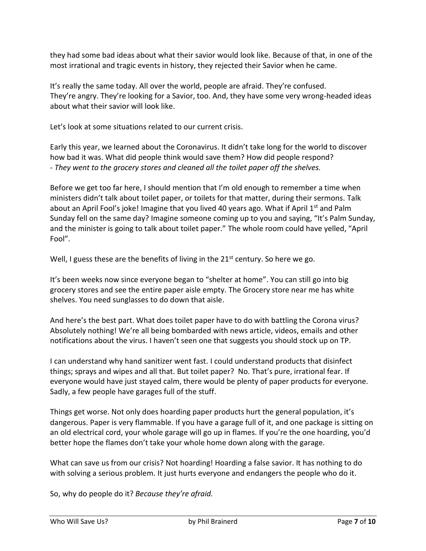they had some bad ideas about what their savior would look like. Because of that, in one of the most irrational and tragic events in history, they rejected their Savior when he came.

It's really the same today. All over the world, people are afraid. They're confused. They're angry. They're looking for a Savior, too. And, they have some very wrong-headed ideas about what their savior will look like.

Let's look at some situations related to our current crisis.

Early this year, we learned about the Coronavirus. It didn't take long for the world to discover how bad it was. What did people think would save them? How did people respond? - *They went to the grocery stores and cleaned all the toilet paper off the shelves.*

Before we get too far here, I should mention that I'm old enough to remember a time when ministers didn't talk about toilet paper, or toilets for that matter, during their sermons. Talk about an April Fool's joke! Imagine that you lived 40 years ago. What if April  $1<sup>st</sup>$  and Palm Sunday fell on the same day? Imagine someone coming up to you and saying, "It's Palm Sunday, and the minister is going to talk about toilet paper." The whole room could have yelled, "April Fool".

Well, I guess these are the benefits of living in the  $21<sup>st</sup>$  century. So here we go.

It's been weeks now since everyone began to "shelter at home". You can still go into big grocery stores and see the entire paper aisle empty. The Grocery store near me has white shelves. You need sunglasses to do down that aisle.

And here's the best part. What does toilet paper have to do with battling the Corona virus? Absolutely nothing! We're all being bombarded with news article, videos, emails and other notifications about the virus. I haven't seen one that suggests you should stock up on TP.

I can understand why hand sanitizer went fast. I could understand products that disinfect things; sprays and wipes and all that. But toilet paper? No. That's pure, irrational fear. If everyone would have just stayed calm, there would be plenty of paper products for everyone. Sadly, a few people have garages full of the stuff.

Things get worse. Not only does hoarding paper products hurt the general population, it's dangerous. Paper is very flammable. If you have a garage full of it, and one package is sitting on an old electrical cord, your whole garage will go up in flames. If you're the one hoarding, you'd better hope the flames don't take your whole home down along with the garage.

What can save us from our crisis? Not hoarding! Hoarding a false savior. It has nothing to do with solving a serious problem. It just hurts everyone and endangers the people who do it.

So, why do people do it? *Because they're afraid.*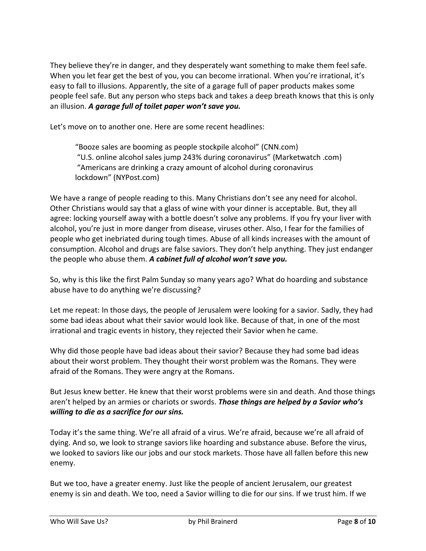They believe they're in danger, and they desperately want something to make them feel safe. When you let fear get the best of you, you can become irrational. When you're irrational, it's easy to fall to illusions. Apparently, the site of a garage full of paper products makes some people feel safe. But any person who steps back and takes a deep breath knows that this is only an illusion. *A garage full of toilet paper won't save you.*

Let's move on to another one. Here are some recent headlines:

"Booze sales are booming as people stockpile alcohol" (CNN.com) "U.S. online alcohol sales jump 243% during coronavirus" (Marketwatch .com) "Americans are drinking a crazy amount of alcohol during coronavirus lockdown" (NYPost.com)

We have a range of people reading to this. Many Christians don't see any need for alcohol. Other Christians would say that a glass of wine with your dinner is acceptable. But, they all agree: locking yourself away with a bottle doesn't solve any problems. If you fry your liver with alcohol, you're just in more danger from disease, viruses other. Also, I fear for the families of people who get inebriated during tough times. Abuse of all kinds increases with the amount of consumption. Alcohol and drugs are false saviors. They don't help anything. They just endanger the people who abuse them. *A cabinet full of alcohol won't save you.*

So, why is this like the first Palm Sunday so many years ago? What do hoarding and substance abuse have to do anything we're discussing?

Let me repeat: In those days, the people of Jerusalem were looking for a savior. Sadly, they had some bad ideas about what their savior would look like. Because of that, in one of the most irrational and tragic events in history, they rejected their Savior when he came.

Why did those people have bad ideas about their savior? Because they had some bad ideas about their worst problem. They thought their worst problem was the Romans. They were afraid of the Romans. They were angry at the Romans.

But Jesus knew better. He knew that their worst problems were sin and death. And those things aren't helped by an armies or chariots or swords. *Those things are helped by a Savior who's willing to die as a sacrifice for our sins.*

Today it's the same thing. We're all afraid of a virus. We're afraid, because we're all afraid of dying. And so, we look to strange saviors like hoarding and substance abuse. Before the virus, we looked to saviors like our jobs and our stock markets. Those have all fallen before this new enemy.

But we too, have a greater enemy. Just like the people of ancient Jerusalem, our greatest enemy is sin and death. We too, need a Savior willing to die for our sins. If we trust him. If we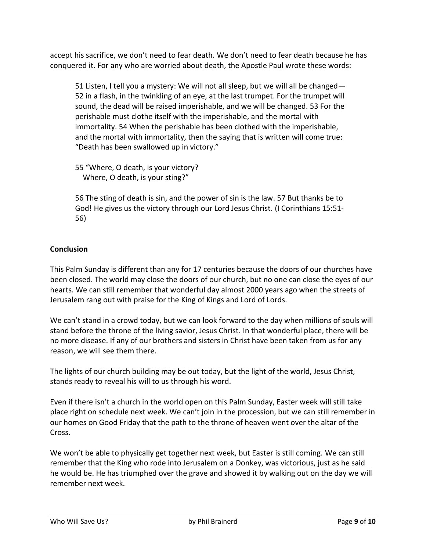accept his sacrifice, we don't need to fear death. We don't need to fear death because he has conquered it. For any who are worried about death, the Apostle Paul wrote these words:

51 Listen, I tell you a mystery: We will not all sleep, but we will all be changed— 52 in a flash, in the twinkling of an eye, at the last trumpet. For the trumpet will sound, the dead will be raised imperishable, and we will be changed. 53 For the perishable must clothe itself with the imperishable, and the mortal with immortality. 54 When the perishable has been clothed with the imperishable, and the mortal with immortality, then the saying that is written will come true: "Death has been swallowed up in victory."

55 "Where, O death, is your victory? Where, O death, is your sting?"

56 The sting of death is sin, and the power of sin is the law. 57 But thanks be to God! He gives us the victory through our Lord Jesus Christ. (I Corinthians 15:51- 56)

## **Conclusion**

This Palm Sunday is different than any for 17 centuries because the doors of our churches have been closed. The world may close the doors of our church, but no one can close the eyes of our hearts. We can still remember that wonderful day almost 2000 years ago when the streets of Jerusalem rang out with praise for the King of Kings and Lord of Lords.

We can't stand in a crowd today, but we can look forward to the day when millions of souls will stand before the throne of the living savior, Jesus Christ. In that wonderful place, there will be no more disease. If any of our brothers and sisters in Christ have been taken from us for any reason, we will see them there.

The lights of our church building may be out today, but the light of the world, Jesus Christ, stands ready to reveal his will to us through his word.

Even if there isn't a church in the world open on this Palm Sunday, Easter week will still take place right on schedule next week. We can't join in the procession, but we can still remember in our homes on Good Friday that the path to the throne of heaven went over the altar of the Cross.

We won't be able to physically get together next week, but Easter is still coming. We can still remember that the King who rode into Jerusalem on a Donkey, was victorious, just as he said he would be. He has triumphed over the grave and showed it by walking out on the day we will remember next week.